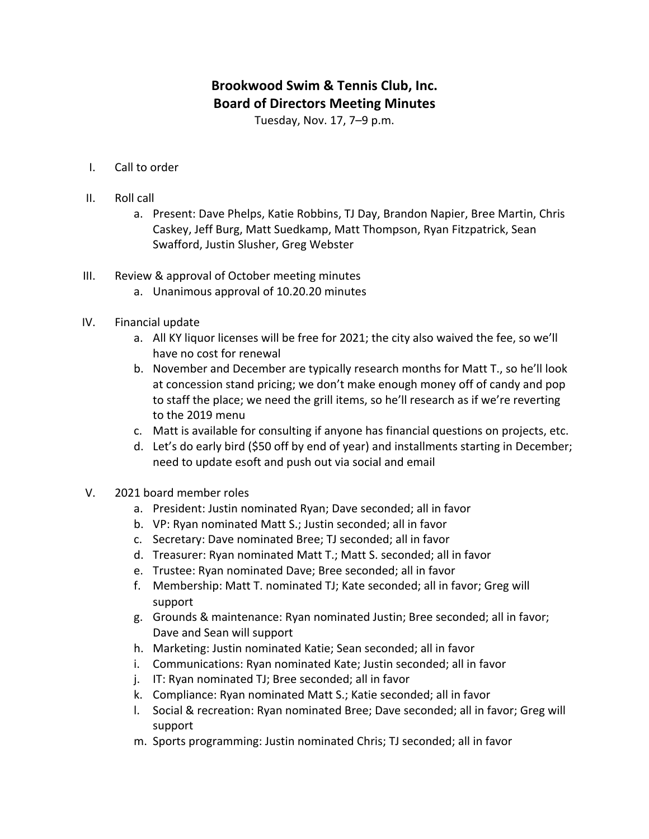## **Brookwood Swim & Tennis Club, Inc. Board of Directors Meeting Minutes**

Tuesday, Nov. 17, 7-9 p.m.

- I. Call to order
- II. Roll call
	- a. Present: Dave Phelps, Katie Robbins, TJ Day, Brandon Napier, Bree Martin, Chris Caskey, Jeff Burg, Matt Suedkamp, Matt Thompson, Ryan Fitzpatrick, Sean Swafford, Justin Slusher, Greg Webster
- III. Review & approval of October meeting minutes
	- a. Unanimous approval of 10.20.20 minutes
- IV. Financial update
	- a. All KY liquor licenses will be free for 2021; the city also waived the fee, so we'll have no cost for renewal
	- b. November and December are typically research months for Matt T., so he'll look at concession stand pricing; we don't make enough money off of candy and pop to staff the place; we need the grill items, so he'll research as if we're reverting to the 2019 menu
	- c. Matt is available for consulting if anyone has financial questions on projects, etc.
	- d. Let's do early bird (\$50 off by end of year) and installments starting in December; need to update esoft and push out via social and email
- V. 2021 board member roles
	- a. President: Justin nominated Ryan; Dave seconded; all in favor
	- b. VP: Ryan nominated Matt S.; Justin seconded; all in favor
	- c. Secretary: Dave nominated Bree; TJ seconded; all in favor
	- d. Treasurer: Ryan nominated Matt T.; Matt S. seconded; all in favor
	- e. Trustee: Ryan nominated Dave; Bree seconded; all in favor
	- f. Membership: Matt T. nominated TJ; Kate seconded; all in favor; Greg will support
	- g. Grounds & maintenance: Ryan nominated Justin; Bree seconded; all in favor; Dave and Sean will support
	- h. Marketing: Justin nominated Katie; Sean seconded; all in favor
	- i. Communications: Ryan nominated Kate; Justin seconded; all in favor
	- j. IT: Ryan nominated TJ; Bree seconded; all in favor
	- k. Compliance: Ryan nominated Matt S.; Katie seconded; all in favor
	- l. Social & recreation: Ryan nominated Bree; Dave seconded; all in favor; Greg will support
	- m. Sports programming: Justin nominated Chris; TJ seconded; all in favor